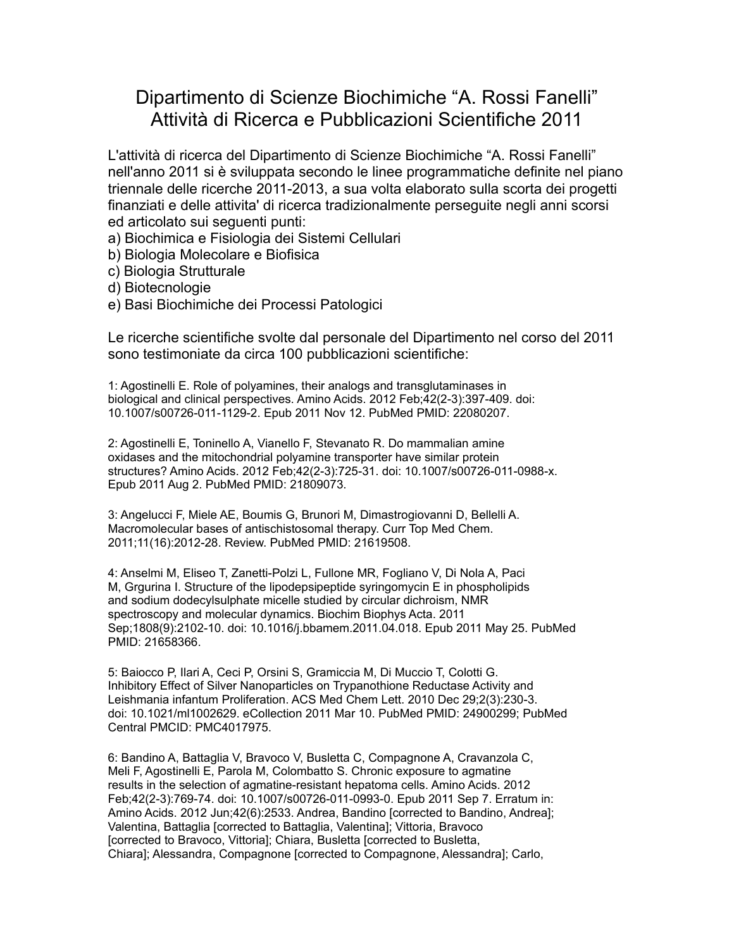## Dipartimento di Scienze Biochimiche "A. Rossi Fanelli" Attività di Ricerca e Pubblicazioni Scientifiche 2011

L'attività di ricerca del Dipartimento di Scienze Biochimiche "A. Rossi Fanelli" nell'anno 2011 si è sviluppata secondo le linee programmatiche definite nel piano triennale delle ricerche 2011-2013, a sua volta elaborato sulla scorta dei progetti finanziati e delle attivita' di ricerca tradizionalmente perseguite negli anni scorsi ed articolato sui seguenti punti:

- a) Biochimica e Fisiologia dei Sistemi Cellulari
- b) Biologia Molecolare e Biofisica
- c) Biologia Strutturale
- d) Biotecnologie
- e) Basi Biochimiche dei Processi Patologici

Le ricerche scientifiche svolte dal personale del Dipartimento nel corso del 2011 sono testimoniate da circa 100 pubblicazioni scientifiche:

1: Agostinelli E. Role of polyamines, their analogs and transglutaminases in biological and clinical perspectives. Amino Acids. 2012 Feb;42(2-3):397-409. doi: 10.1007/s00726-011-1129-2. Epub 2011 Nov 12. PubMed PMID: 22080207.

2: Agostinelli E, Toninello A, Vianello F, Stevanato R. Do mammalian amine oxidases and the mitochondrial polyamine transporter have similar protein structures? Amino Acids. 2012 Feb;42(2-3):725-31. doi: 10.1007/s00726-011-0988-x. Epub 2011 Aug 2. PubMed PMID: 21809073.

3: Angelucci F, Miele AE, Boumis G, Brunori M, Dimastrogiovanni D, Bellelli A. Macromolecular bases of antischistosomal therapy. Curr Top Med Chem. 2011;11(16):2012-28. Review. PubMed PMID: 21619508.

4: Anselmi M, Eliseo T, Zanetti-Polzi L, Fullone MR, Fogliano V, Di Nola A, Paci M, Grgurina I. Structure of the lipodepsipeptide syringomycin E in phospholipids and sodium dodecylsulphate micelle studied by circular dichroism, NMR spectroscopy and molecular dynamics. Biochim Biophys Acta. 2011 Sep;1808(9):2102-10. doi: 10.1016/j.bbamem.2011.04.018. Epub 2011 May 25. PubMed PMID: 21658366.

5: Baiocco P, Ilari A, Ceci P, Orsini S, Gramiccia M, Di Muccio T, Colotti G. Inhibitory Effect of Silver Nanoparticles on Trypanothione Reductase Activity and Leishmania infantum Proliferation. ACS Med Chem Lett. 2010 Dec 29;2(3):230-3. doi: 10.1021/ml1002629. eCollection 2011 Mar 10. PubMed PMID: 24900299; PubMed Central PMCID: PMC4017975.

6: Bandino A, Battaglia V, Bravoco V, Busletta C, Compagnone A, Cravanzola C, Meli F, Agostinelli E, Parola M, Colombatto S. Chronic exposure to agmatine results in the selection of agmatine-resistant hepatoma cells. Amino Acids. 2012 Feb;42(2-3):769-74. doi: 10.1007/s00726-011-0993-0. Epub 2011 Sep 7. Erratum in: Amino Acids. 2012 Jun;42(6):2533. Andrea, Bandino [corrected to Bandino, Andrea]; Valentina, Battaglia [corrected to Battaglia, Valentina]; Vittoria, Bravoco [corrected to Bravoco, Vittoria]; Chiara, Busletta [corrected to Busletta, Chiara]; Alessandra, Compagnone [corrected to Compagnone, Alessandra]; Carlo,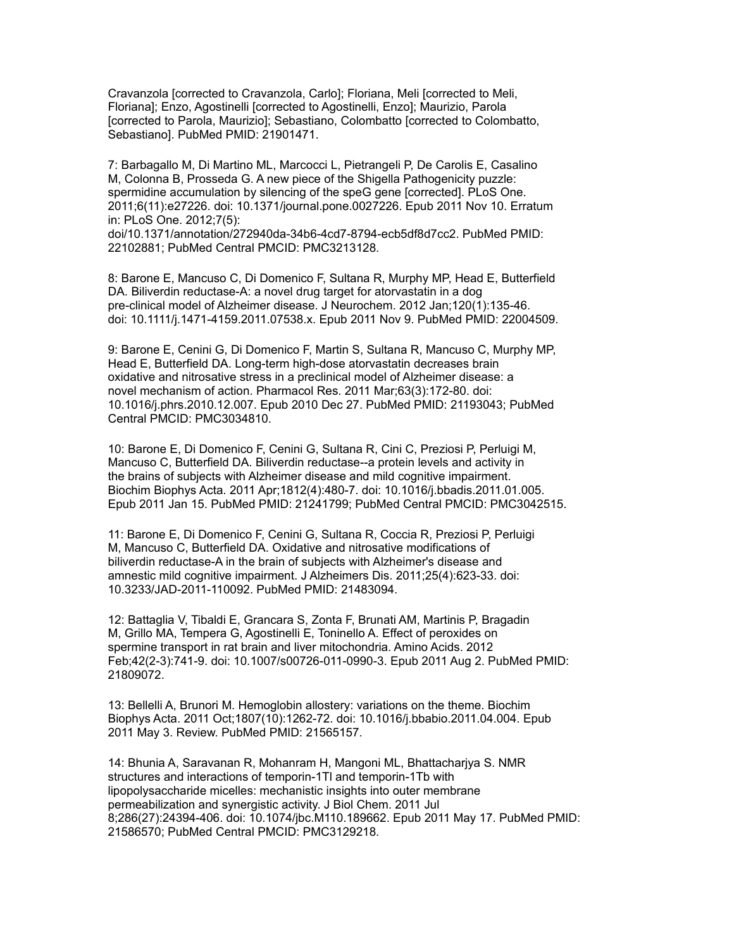Cravanzola [corrected to Cravanzola, Carlo]; Floriana, Meli [corrected to Meli, Floriana]; Enzo, Agostinelli [corrected to Agostinelli, Enzo]; Maurizio, Parola [corrected to Parola, Maurizio]; Sebastiano, Colombatto [corrected to Colombatto, Sebastiano]. PubMed PMID: 21901471.

7: Barbagallo M, Di Martino ML, Marcocci L, Pietrangeli P, De Carolis E, Casalino M, Colonna B, Prosseda G. A new piece of the Shigella Pathogenicity puzzle: spermidine accumulation by silencing of the speG gene [corrected]. PLoS One. 2011;6(11):e27226. doi: 10.1371/journal.pone.0027226. Epub 2011 Nov 10. Erratum in: PLoS One. 2012;7(5):

doi/10.1371/annotation/272940da-34b6-4cd7-8794-ecb5df8d7cc2. PubMed PMID: 22102881; PubMed Central PMCID: PMC3213128.

8: Barone E, Mancuso C, Di Domenico F, Sultana R, Murphy MP, Head E, Butterfield DA. Biliverdin reductase-A: a novel drug target for atorvastatin in a dog pre-clinical model of Alzheimer disease. J Neurochem. 2012 Jan;120(1):135-46. doi: 10.1111/j.1471-4159.2011.07538.x. Epub 2011 Nov 9. PubMed PMID: 22004509.

9: Barone E, Cenini G, Di Domenico F, Martin S, Sultana R, Mancuso C, Murphy MP, Head E, Butterfield DA. Long-term high-dose atorvastatin decreases brain oxidative and nitrosative stress in a preclinical model of Alzheimer disease: a novel mechanism of action. Pharmacol Res. 2011 Mar;63(3):172-80. doi: 10.1016/j.phrs.2010.12.007. Epub 2010 Dec 27. PubMed PMID: 21193043; PubMed Central PMCID: PMC3034810.

10: Barone E, Di Domenico F, Cenini G, Sultana R, Cini C, Preziosi P, Perluigi M, Mancuso C, Butterfield DA. Biliverdin reductase--a protein levels and activity in the brains of subjects with Alzheimer disease and mild cognitive impairment. Biochim Biophys Acta. 2011 Apr;1812(4):480-7. doi: 10.1016/j.bbadis.2011.01.005. Epub 2011 Jan 15. PubMed PMID: 21241799; PubMed Central PMCID: PMC3042515.

11: Barone E, Di Domenico F, Cenini G, Sultana R, Coccia R, Preziosi P, Perluigi M, Mancuso C, Butterfield DA. Oxidative and nitrosative modifications of biliverdin reductase-A in the brain of subjects with Alzheimer's disease and amnestic mild cognitive impairment. J Alzheimers Dis. 2011;25(4):623-33. doi: 10.3233/JAD-2011-110092. PubMed PMID: 21483094.

12: Battaglia V, Tibaldi E, Grancara S, Zonta F, Brunati AM, Martinis P, Bragadin M, Grillo MA, Tempera G, Agostinelli E, Toninello A. Effect of peroxides on spermine transport in rat brain and liver mitochondria. Amino Acids. 2012 Feb;42(2-3):741-9. doi: 10.1007/s00726-011-0990-3. Epub 2011 Aug 2. PubMed PMID: 21809072.

13: Bellelli A, Brunori M. Hemoglobin allostery: variations on the theme. Biochim Biophys Acta. 2011 Oct;1807(10):1262-72. doi: 10.1016/j.bbabio.2011.04.004. Epub 2011 May 3. Review. PubMed PMID: 21565157.

14: Bhunia A, Saravanan R, Mohanram H, Mangoni ML, Bhattacharjya S. NMR structures and interactions of temporin-1Tl and temporin-1Tb with lipopolysaccharide micelles: mechanistic insights into outer membrane permeabilization and synergistic activity. J Biol Chem. 2011 Jul 8;286(27):24394-406. doi: 10.1074/jbc.M110.189662. Epub 2011 May 17. PubMed PMID: 21586570; PubMed Central PMCID: PMC3129218.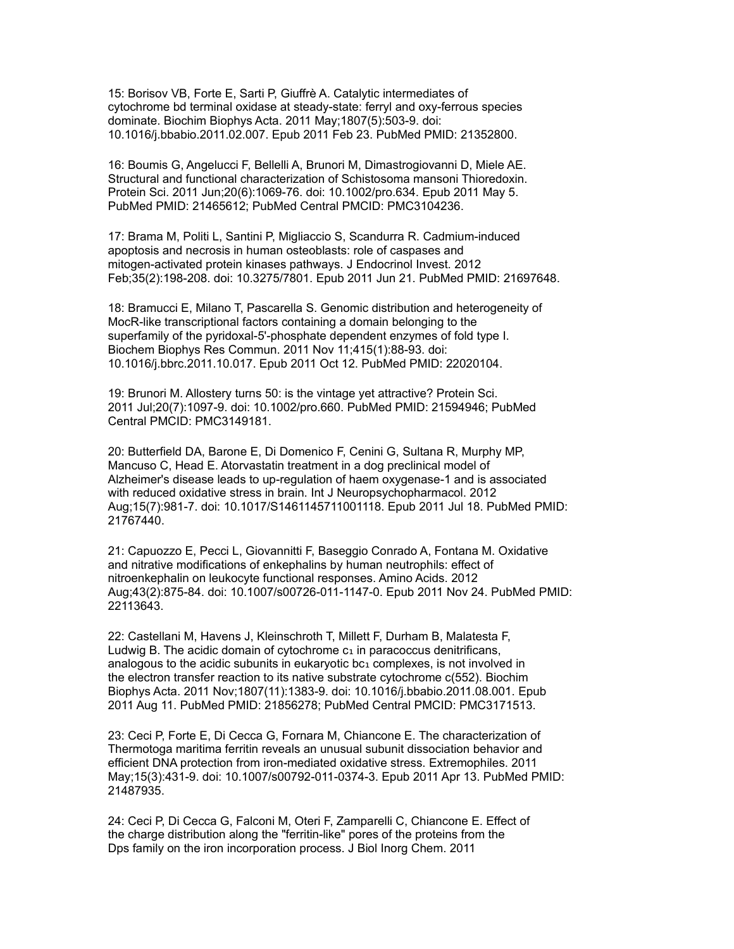15: Borisov VB, Forte E, Sarti P, Giuffrè A. Catalytic intermediates of cytochrome bd terminal oxidase at steady-state: ferryl and oxy-ferrous species dominate. Biochim Biophys Acta. 2011 May;1807(5):503-9. doi: 10.1016/j.bbabio.2011.02.007. Epub 2011 Feb 23. PubMed PMID: 21352800.

16: Boumis G, Angelucci F, Bellelli A, Brunori M, Dimastrogiovanni D, Miele AE. Structural and functional characterization of Schistosoma mansoni Thioredoxin. Protein Sci. 2011 Jun;20(6):1069-76. doi: 10.1002/pro.634. Epub 2011 May 5. PubMed PMID: 21465612; PubMed Central PMCID: PMC3104236.

17: Brama M, Politi L, Santini P, Migliaccio S, Scandurra R. Cadmium-induced apoptosis and necrosis in human osteoblasts: role of caspases and mitogen-activated protein kinases pathways. J Endocrinol Invest. 2012 Feb;35(2):198-208. doi: 10.3275/7801. Epub 2011 Jun 21. PubMed PMID: 21697648.

18: Bramucci E, Milano T, Pascarella S. Genomic distribution and heterogeneity of MocR-like transcriptional factors containing a domain belonging to the superfamily of the pyridoxal-5'-phosphate dependent enzymes of fold type I. Biochem Biophys Res Commun. 2011 Nov 11;415(1):88-93. doi: 10.1016/j.bbrc.2011.10.017. Epub 2011 Oct 12. PubMed PMID: 22020104.

19: Brunori M. Allostery turns 50: is the vintage yet attractive? Protein Sci. 2011 Jul;20(7):1097-9. doi: 10.1002/pro.660. PubMed PMID: 21594946; PubMed Central PMCID: PMC3149181.

20: Butterfield DA, Barone E, Di Domenico F, Cenini G, Sultana R, Murphy MP, Mancuso C, Head E. Atorvastatin treatment in a dog preclinical model of Alzheimer's disease leads to up-regulation of haem oxygenase-1 and is associated with reduced oxidative stress in brain. Int J Neuropsychopharmacol. 2012 Aug;15(7):981-7. doi: 10.1017/S1461145711001118. Epub 2011 Jul 18. PubMed PMID: 21767440.

21: Capuozzo E, Pecci L, Giovannitti F, Baseggio Conrado A, Fontana M. Oxidative and nitrative modifications of enkephalins by human neutrophils: effect of nitroenkephalin on leukocyte functional responses. Amino Acids. 2012 Aug;43(2):875-84. doi: 10.1007/s00726-011-1147-0. Epub 2011 Nov 24. PubMed PMID: 22113643.

22: Castellani M, Havens J, Kleinschroth T, Millett F, Durham B, Malatesta F, Ludwig B. The acidic domain of cytochrome  $c<sub>1</sub>$  in paracoccus denitrificans, analogous to the acidic subunits in eukaryotic  $bc<sub>1</sub>$  complexes, is not involved in the electron transfer reaction to its native substrate cytochrome c(552). Biochim Biophys Acta. 2011 Nov;1807(11):1383-9. doi: 10.1016/j.bbabio.2011.08.001. Epub 2011 Aug 11. PubMed PMID: 21856278; PubMed Central PMCID: PMC3171513.

23: Ceci P, Forte E, Di Cecca G, Fornara M, Chiancone E. The characterization of Thermotoga maritima ferritin reveals an unusual subunit dissociation behavior and efficient DNA protection from iron-mediated oxidative stress. Extremophiles. 2011 May;15(3):431-9. doi: 10.1007/s00792-011-0374-3. Epub 2011 Apr 13. PubMed PMID: 21487935.

24: Ceci P, Di Cecca G, Falconi M, Oteri F, Zamparelli C, Chiancone E. Effect of the charge distribution along the "ferritin-like" pores of the proteins from the Dps family on the iron incorporation process. J Biol Inorg Chem. 2011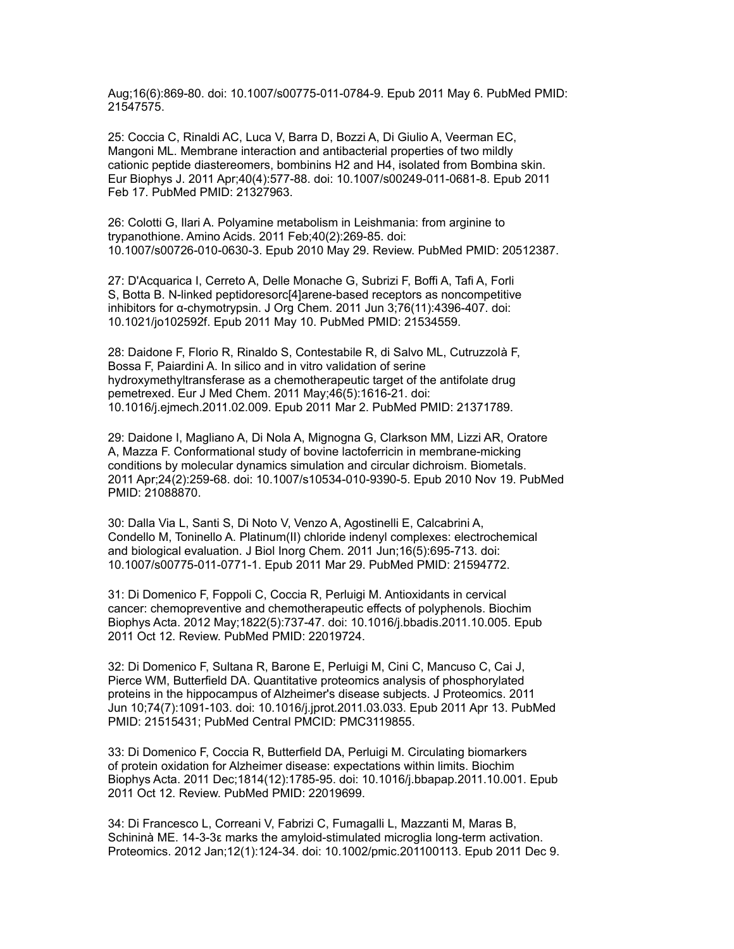Aug;16(6):869-80. doi: 10.1007/s00775-011-0784-9. Epub 2011 May 6. PubMed PMID: 21547575.

25: Coccia C, Rinaldi AC, Luca V, Barra D, Bozzi A, Di Giulio A, Veerman EC, Mangoni ML. Membrane interaction and antibacterial properties of two mildly cationic peptide diastereomers, bombinins H2 and H4, isolated from Bombina skin. Eur Biophys J. 2011 Apr;40(4):577-88. doi: 10.1007/s00249-011-0681-8. Epub 2011 Feb 17. PubMed PMID: 21327963.

26: Colotti G, Ilari A. Polyamine metabolism in Leishmania: from arginine to trypanothione. Amino Acids. 2011 Feb;40(2):269-85. doi: 10.1007/s00726-010-0630-3. Epub 2010 May 29. Review. PubMed PMID: 20512387.

27: D'Acquarica I, Cerreto A, Delle Monache G, Subrizi F, Boffi A, Tafi A, Forli S, Botta B. N-linked peptidoresorc[4]arene-based receptors as noncompetitive inhibitors for α-chymotrypsin. J Org Chem. 2011 Jun 3;76(11):4396-407. doi: 10.1021/jo102592f. Epub 2011 May 10. PubMed PMID: 21534559.

28: Daidone F, Florio R, Rinaldo S, Contestabile R, di Salvo ML, Cutruzzolà F, Bossa F, Paiardini A. In silico and in vitro validation of serine hydroxymethyltransferase as a chemotherapeutic target of the antifolate drug pemetrexed. Eur J Med Chem. 2011 May;46(5):1616-21. doi: 10.1016/j.ejmech.2011.02.009. Epub 2011 Mar 2. PubMed PMID: 21371789.

29: Daidone I, Magliano A, Di Nola A, Mignogna G, Clarkson MM, Lizzi AR, Oratore A, Mazza F. Conformational study of bovine lactoferricin in membrane-micking conditions by molecular dynamics simulation and circular dichroism. Biometals. 2011 Apr;24(2):259-68. doi: 10.1007/s10534-010-9390-5. Epub 2010 Nov 19. PubMed PMID: 21088870.

30: Dalla Via L, Santi S, Di Noto V, Venzo A, Agostinelli E, Calcabrini A, Condello M, Toninello A. Platinum(II) chloride indenyl complexes: electrochemical and biological evaluation. J Biol Inorg Chem. 2011 Jun;16(5):695-713. doi: 10.1007/s00775-011-0771-1. Epub 2011 Mar 29. PubMed PMID: 21594772.

31: Di Domenico F, Foppoli C, Coccia R, Perluigi M. Antioxidants in cervical cancer: chemopreventive and chemotherapeutic effects of polyphenols. Biochim Biophys Acta. 2012 May;1822(5):737-47. doi: 10.1016/j.bbadis.2011.10.005. Epub 2011 Oct 12. Review. PubMed PMID: 22019724.

32: Di Domenico F, Sultana R, Barone E, Perluigi M, Cini C, Mancuso C, Cai J, Pierce WM, Butterfield DA. Quantitative proteomics analysis of phosphorylated proteins in the hippocampus of Alzheimer's disease subjects. J Proteomics. 2011 Jun 10;74(7):1091-103. doi: 10.1016/j.jprot.2011.03.033. Epub 2011 Apr 13. PubMed PMID: 21515431; PubMed Central PMCID: PMC3119855.

33: Di Domenico F, Coccia R, Butterfield DA, Perluigi M. Circulating biomarkers of protein oxidation for Alzheimer disease: expectations within limits. Biochim Biophys Acta. 2011 Dec;1814(12):1785-95. doi: 10.1016/j.bbapap.2011.10.001. Epub 2011 Oct 12. Review. PubMed PMID: 22019699.

34: Di Francesco L, Correani V, Fabrizi C, Fumagalli L, Mazzanti M, Maras B, Schininà ME. 14-3-3ε marks the amyloid-stimulated microglia long-term activation. Proteomics. 2012 Jan;12(1):124-34. doi: 10.1002/pmic.201100113. Epub 2011 Dec 9.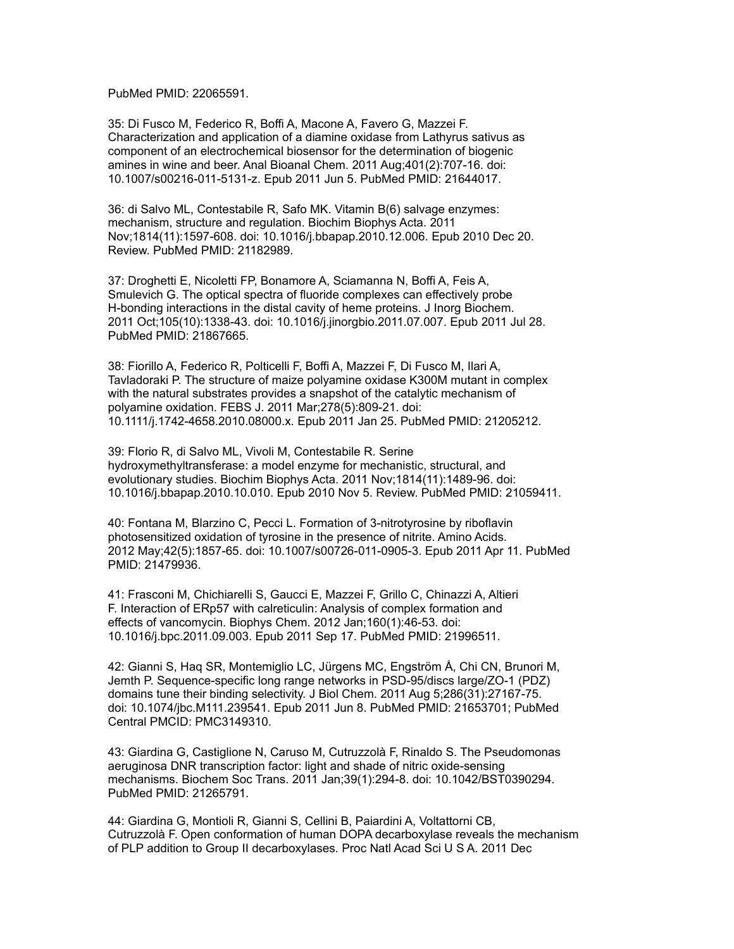PubMed PMID: 22065591.

35: Di Fusco M, Federico R, Boffi A, Macone A, Favero G, Mazzei F. Characterization and application of a diamine oxidase from Lathyrus sativus as component of an electrochemical biosensor for the determination of biogenic amines in wine and beer. Anal Bioanal Chem. 2011 Aug;401(2):707-16. doi: 10.1007/s00216-011-5131-z. Epub 2011 Jun 5. PubMed PMID: 21644017.

36: di Salvo ML, Contestabile R, Safo MK. Vitamin B(6) salvage enzymes: mechanism, structure and regulation. Biochim Biophys Acta. 2011 Nov;1814(11):1597-608. doi: 10.1016/j.bbapap.2010.12.006. Epub 2010 Dec 20. Review. PubMed PMID: 21182989.

37: Droghetti E, Nicoletti FP, Bonamore A, Sciamanna N, Boffi A, Feis A, Smulevich G. The optical spectra of fluoride complexes can effectively probe H-bonding interactions in the distal cavity of heme proteins. J Inorg Biochem. 2011 Oct;105(10):1338-43. doi: 10.1016/j.jinorgbio.2011.07.007. Epub 2011 Jul 28. PubMed PMID: 21867665.

38: Fiorillo A, Federico R, Polticelli F, Boffi A, Mazzei F, Di Fusco M, Ilari A, Tavladoraki P. The structure of maize polyamine oxidase K300M mutant in complex with the natural substrates provides a snapshot of the catalytic mechanism of polyamine oxidation. FEBS J. 2011 Mar;278(5):809-21. doi: 10.1111/j.1742-4658.2010.08000.x. Epub 2011 Jan 25. PubMed PMID: 21205212.

39: Florio R, di Salvo ML, Vivoli M, Contestabile R. Serine hydroxymethyltransferase: a model enzyme for mechanistic, structural, and evolutionary studies. Biochim Biophys Acta. 2011 Nov;1814(11):1489-96. doi: 10.1016/j.bbapap.2010.10.010. Epub 2010 Nov 5. Review. PubMed PMID: 21059411.

40: Fontana M, Blarzino C, Pecci L. Formation of 3-nitrotyrosine by riboflavin photosensitized oxidation of tyrosine in the presence of nitrite. Amino Acids. 2012 May;42(5):1857-65. doi: 10.1007/s00726-011-0905-3. Epub 2011 Apr 11. PubMed PMID: 21479936.

41: Frasconi M, Chichiarelli S, Gaucci E, Mazzei F, Grillo C, Chinazzi A, Altieri F. Interaction of ERp57 with calreticulin: Analysis of complex formation and effects of vancomycin. Biophys Chem. 2012 Jan;160(1):46-53. doi: 10.1016/j.bpc.2011.09.003. Epub 2011 Sep 17. PubMed PMID: 21996511.

42: Gianni S, Haq SR, Montemiglio LC, Jürgens MC, Engström Å, Chi CN, Brunori M, Jemth P. Sequence-specific long range networks in PSD-95/discs large/ZO-1 (PDZ) domains tune their binding selectivity. J Biol Chem. 2011 Aug 5;286(31):27167-75. doi: 10.1074/jbc.M111.239541. Epub 2011 Jun 8. PubMed PMID: 21653701; PubMed Central PMCID: PMC3149310.

43: Giardina G, Castiglione N, Caruso M, Cutruzzolà F, Rinaldo S. The Pseudomonas aeruginosa DNR transcription factor: light and shade of nitric oxide-sensing mechanisms. Biochem Soc Trans. 2011 Jan;39(1):294-8. doi: 10.1042/BST0390294. PubMed PMID: 21265791.

44: Giardina G, Montioli R, Gianni S, Cellini B, Paiardini A, Voltattorni CB, Cutruzzolà F. Open conformation of human DOPA decarboxylase reveals the mechanism of PLP addition to Group II decarboxylases. Proc Natl Acad Sci U S A. 2011 Dec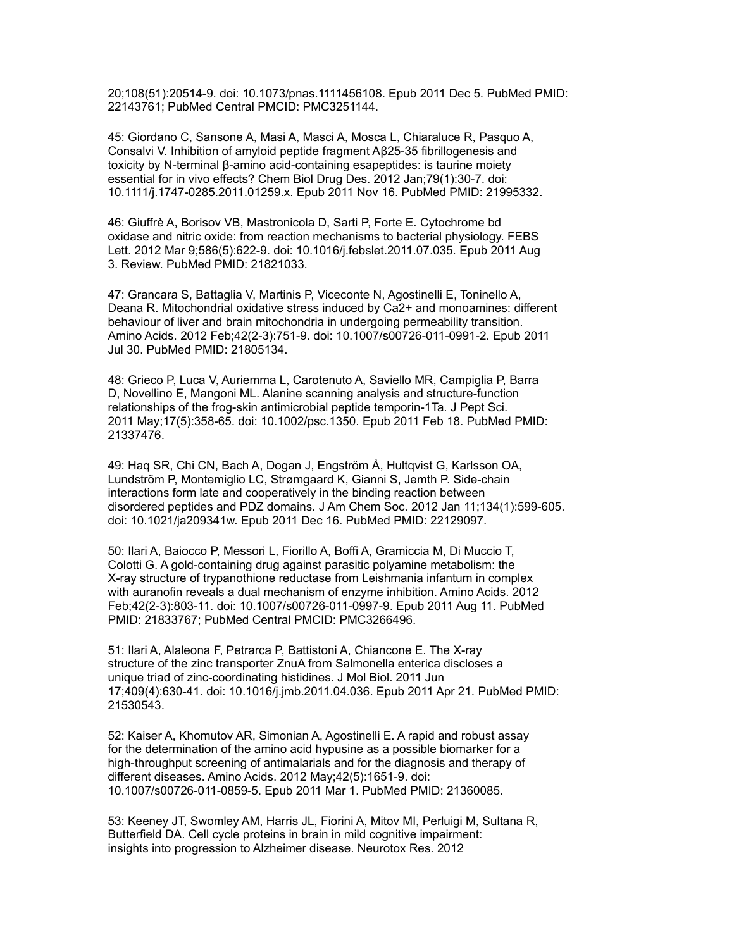20;108(51):20514-9. doi: 10.1073/pnas.1111456108. Epub 2011 Dec 5. PubMed PMID: 22143761; PubMed Central PMCID: PMC3251144.

45: Giordano C, Sansone A, Masi A, Masci A, Mosca L, Chiaraluce R, Pasquo A, Consalvi V. Inhibition of amyloid peptide fragment Aβ25-35 fibrillogenesis and toxicity by N-terminal β-amino acid-containing esapeptides: is taurine moiety essential for in vivo effects? Chem Biol Drug Des. 2012 Jan;79(1):30-7. doi: 10.1111/j.1747-0285.2011.01259.x. Epub 2011 Nov 16. PubMed PMID: 21995332.

46: Giuffrè A, Borisov VB, Mastronicola D, Sarti P, Forte E. Cytochrome bd oxidase and nitric oxide: from reaction mechanisms to bacterial physiology. FEBS Lett. 2012 Mar 9;586(5):622-9. doi: 10.1016/j.febslet.2011.07.035. Epub 2011 Aug 3. Review. PubMed PMID: 21821033.

47: Grancara S, Battaglia V, Martinis P, Viceconte N, Agostinelli E, Toninello A, Deana R. Mitochondrial oxidative stress induced by Ca2+ and monoamines: different behaviour of liver and brain mitochondria in undergoing permeability transition. Amino Acids. 2012 Feb;42(2-3):751-9. doi: 10.1007/s00726-011-0991-2. Epub 2011 Jul 30. PubMed PMID: 21805134.

48: Grieco P, Luca V, Auriemma L, Carotenuto A, Saviello MR, Campiglia P, Barra D, Novellino E, Mangoni ML. Alanine scanning analysis and structure-function relationships of the frog-skin antimicrobial peptide temporin-1Ta. J Pept Sci. 2011 May;17(5):358-65. doi: 10.1002/psc.1350. Epub 2011 Feb 18. PubMed PMID: 21337476.

49: Haq SR, Chi CN, Bach A, Dogan J, Engström Å, Hultqvist G, Karlsson OA, Lundström P, Montemiglio LC, Strømgaard K, Gianni S, Jemth P. Side-chain interactions form late and cooperatively in the binding reaction between disordered peptides and PDZ domains. J Am Chem Soc. 2012 Jan 11;134(1):599-605. doi: 10.1021/ja209341w. Epub 2011 Dec 16. PubMed PMID: 22129097.

50: Ilari A, Baiocco P, Messori L, Fiorillo A, Boffi A, Gramiccia M, Di Muccio T, Colotti G. A gold-containing drug against parasitic polyamine metabolism: the X-ray structure of trypanothione reductase from Leishmania infantum in complex with auranofin reveals a dual mechanism of enzyme inhibition. Amino Acids. 2012 Feb;42(2-3):803-11. doi: 10.1007/s00726-011-0997-9. Epub 2011 Aug 11. PubMed PMID: 21833767; PubMed Central PMCID: PMC3266496.

51: Ilari A, Alaleona F, Petrarca P, Battistoni A, Chiancone E. The X-ray structure of the zinc transporter ZnuA from Salmonella enterica discloses a unique triad of zinc-coordinating histidines. J Mol Biol. 2011 Jun 17;409(4):630-41. doi: 10.1016/j.jmb.2011.04.036. Epub 2011 Apr 21. PubMed PMID: 21530543.

52: Kaiser A, Khomutov AR, Simonian A, Agostinelli E. A rapid and robust assay for the determination of the amino acid hypusine as a possible biomarker for a high-throughput screening of antimalarials and for the diagnosis and therapy of different diseases. Amino Acids. 2012 May;42(5):1651-9. doi: 10.1007/s00726-011-0859-5. Epub 2011 Mar 1. PubMed PMID: 21360085.

53: Keeney JT, Swomley AM, Harris JL, Fiorini A, Mitov MI, Perluigi M, Sultana R, Butterfield DA. Cell cycle proteins in brain in mild cognitive impairment: insights into progression to Alzheimer disease. Neurotox Res. 2012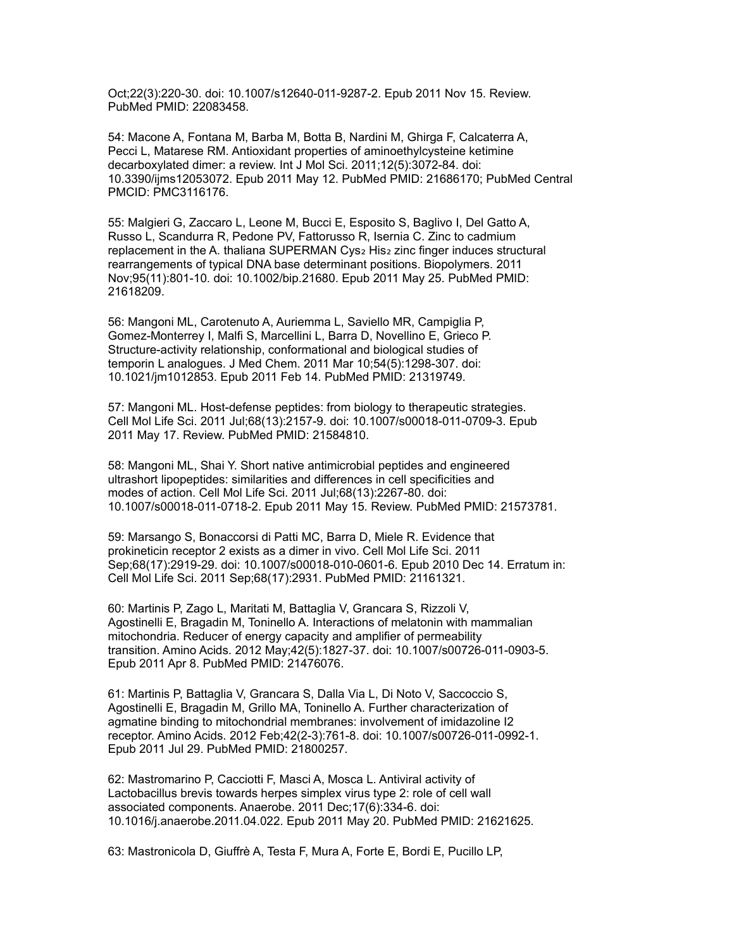Oct;22(3):220-30. doi: 10.1007/s12640-011-9287-2. Epub 2011 Nov 15. Review. PubMed PMID: 22083458.

54: Macone A, Fontana M, Barba M, Botta B, Nardini M, Ghirga F, Calcaterra A, Pecci L, Matarese RM. Antioxidant properties of aminoethylcysteine ketimine decarboxylated dimer: a review. Int J Mol Sci. 2011;12(5):3072-84. doi: 10.3390/ijms12053072. Epub 2011 May 12. PubMed PMID: 21686170; PubMed Central PMCID: PMC3116176.

55: Malgieri G, Zaccaro L, Leone M, Bucci E, Esposito S, Baglivo I, Del Gatto A, Russo L, Scandurra R, Pedone PV, Fattorusso R, Isernia C. Zinc to cadmium replacement in the A. thaliana SUPERMAN Cys2 His2 zinc finger induces structural rearrangements of typical DNA base determinant positions. Biopolymers. 2011 Nov;95(11):801-10. doi: 10.1002/bip.21680. Epub 2011 May 25. PubMed PMID: 21618209.

56: Mangoni ML, Carotenuto A, Auriemma L, Saviello MR, Campiglia P, Gomez-Monterrey I, Malfi S, Marcellini L, Barra D, Novellino E, Grieco P. Structure-activity relationship, conformational and biological studies of temporin L analogues. J Med Chem. 2011 Mar 10;54(5):1298-307. doi: 10.1021/jm1012853. Epub 2011 Feb 14. PubMed PMID: 21319749.

57: Mangoni ML. Host-defense peptides: from biology to therapeutic strategies. Cell Mol Life Sci. 2011 Jul;68(13):2157-9. doi: 10.1007/s00018-011-0709-3. Epub 2011 May 17. Review. PubMed PMID: 21584810.

58: Mangoni ML, Shai Y. Short native antimicrobial peptides and engineered ultrashort lipopeptides: similarities and differences in cell specificities and modes of action. Cell Mol Life Sci. 2011 Jul;68(13):2267-80. doi: 10.1007/s00018-011-0718-2. Epub 2011 May 15. Review. PubMed PMID: 21573781.

59: Marsango S, Bonaccorsi di Patti MC, Barra D, Miele R. Evidence that prokineticin receptor 2 exists as a dimer in vivo. Cell Mol Life Sci. 2011 Sep;68(17):2919-29. doi: 10.1007/s00018-010-0601-6. Epub 2010 Dec 14. Erratum in: Cell Mol Life Sci. 2011 Sep;68(17):2931. PubMed PMID: 21161321.

60: Martinis P, Zago L, Maritati M, Battaglia V, Grancara S, Rizzoli V, Agostinelli E, Bragadin M, Toninello A. Interactions of melatonin with mammalian mitochondria. Reducer of energy capacity and amplifier of permeability transition. Amino Acids. 2012 May;42(5):1827-37. doi: 10.1007/s00726-011-0903-5. Epub 2011 Apr 8. PubMed PMID: 21476076.

61: Martinis P, Battaglia V, Grancara S, Dalla Via L, Di Noto V, Saccoccio S, Agostinelli E, Bragadin M, Grillo MA, Toninello A. Further characterization of agmatine binding to mitochondrial membranes: involvement of imidazoline I2 receptor. Amino Acids. 2012 Feb;42(2-3):761-8. doi: 10.1007/s00726-011-0992-1. Epub 2011 Jul 29. PubMed PMID: 21800257.

62: Mastromarino P, Cacciotti F, Masci A, Mosca L. Antiviral activity of Lactobacillus brevis towards herpes simplex virus type 2: role of cell wall associated components. Anaerobe. 2011 Dec;17(6):334-6. doi: 10.1016/j.anaerobe.2011.04.022. Epub 2011 May 20. PubMed PMID: 21621625.

63: Mastronicola D, Giuffrè A, Testa F, Mura A, Forte E, Bordi E, Pucillo LP,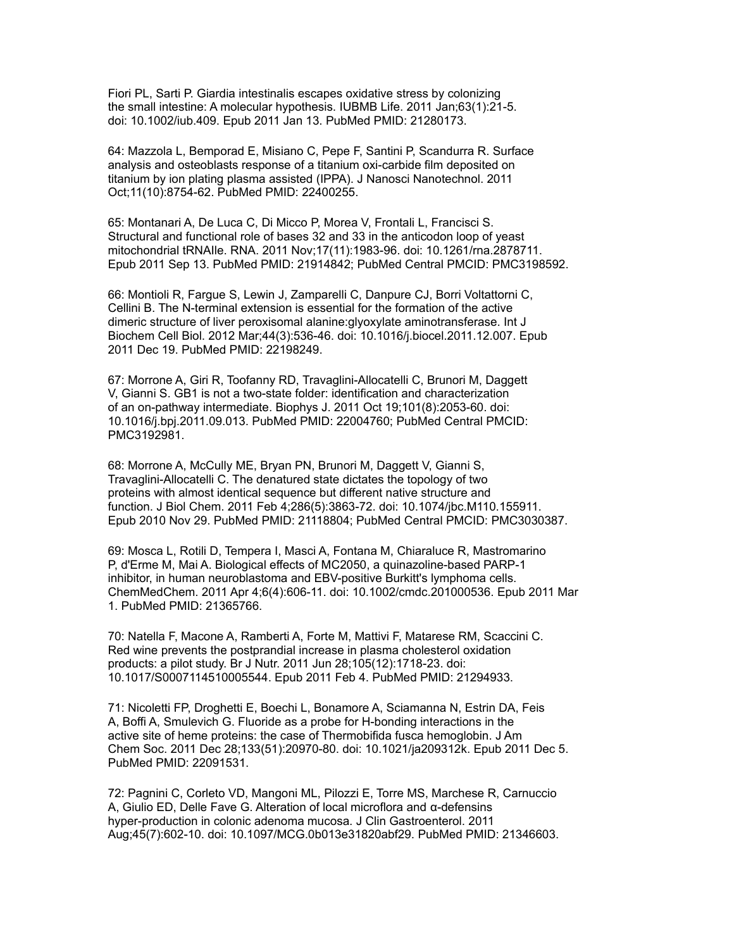Fiori PL, Sarti P. Giardia intestinalis escapes oxidative stress by colonizing the small intestine: A molecular hypothesis. IUBMB Life. 2011 Jan;63(1):21-5. doi: 10.1002/iub.409. Epub 2011 Jan 13. PubMed PMID: 21280173.

64: Mazzola L, Bemporad E, Misiano C, Pepe F, Santini P, Scandurra R. Surface analysis and osteoblasts response of a titanium oxi-carbide film deposited on titanium by ion plating plasma assisted (IPPA). J Nanosci Nanotechnol. 2011 Oct;11(10):8754-62. PubMed PMID: 22400255.

65: Montanari A, De Luca C, Di Micco P, Morea V, Frontali L, Francisci S. Structural and functional role of bases 32 and 33 in the anticodon loop of yeast mitochondrial tRNAIle. RNA. 2011 Nov;17(11):1983-96. doi: 10.1261/rna.2878711. Epub 2011 Sep 13. PubMed PMID: 21914842; PubMed Central PMCID: PMC3198592.

66: Montioli R, Fargue S, Lewin J, Zamparelli C, Danpure CJ, Borri Voltattorni C, Cellini B. The N-terminal extension is essential for the formation of the active dimeric structure of liver peroxisomal alanine:glyoxylate aminotransferase. Int J Biochem Cell Biol. 2012 Mar;44(3):536-46. doi: 10.1016/j.biocel.2011.12.007. Epub 2011 Dec 19. PubMed PMID: 22198249.

67: Morrone A, Giri R, Toofanny RD, Travaglini-Allocatelli C, Brunori M, Daggett V, Gianni S. GB1 is not a two-state folder: identification and characterization of an on-pathway intermediate. Biophys J. 2011 Oct 19;101(8):2053-60. doi: 10.1016/j.bpj.2011.09.013. PubMed PMID: 22004760; PubMed Central PMCID: PMC3192981.

68: Morrone A, McCully ME, Bryan PN, Brunori M, Daggett V, Gianni S, Travaglini-Allocatelli C. The denatured state dictates the topology of two proteins with almost identical sequence but different native structure and function. J Biol Chem. 2011 Feb 4;286(5):3863-72. doi: 10.1074/jbc.M110.155911. Epub 2010 Nov 29. PubMed PMID: 21118804; PubMed Central PMCID: PMC3030387.

69: Mosca L, Rotili D, Tempera I, Masci A, Fontana M, Chiaraluce R, Mastromarino P, d'Erme M, Mai A. Biological effects of MC2050, a quinazoline-based PARP-1 inhibitor, in human neuroblastoma and EBV-positive Burkitt's lymphoma cells. ChemMedChem. 2011 Apr 4;6(4):606-11. doi: 10.1002/cmdc.201000536. Epub 2011 Mar 1. PubMed PMID: 21365766.

70: Natella F, Macone A, Ramberti A, Forte M, Mattivi F, Matarese RM, Scaccini C. Red wine prevents the postprandial increase in plasma cholesterol oxidation products: a pilot study. Br J Nutr. 2011 Jun 28;105(12):1718-23. doi: 10.1017/S0007114510005544. Epub 2011 Feb 4. PubMed PMID: 21294933.

71: Nicoletti FP, Droghetti E, Boechi L, Bonamore A, Sciamanna N, Estrin DA, Feis A, Boffi A, Smulevich G. Fluoride as a probe for H-bonding interactions in the active site of heme proteins: the case of Thermobifida fusca hemoglobin. J Am Chem Soc. 2011 Dec 28;133(51):20970-80. doi: 10.1021/ja209312k. Epub 2011 Dec 5. PubMed PMID: 22091531.

72: Pagnini C, Corleto VD, Mangoni ML, Pilozzi E, Torre MS, Marchese R, Carnuccio A, Giulio ED, Delle Fave G. Alteration of local microflora and α-defensins hyper-production in colonic adenoma mucosa. J Clin Gastroenterol. 2011 Aug;45(7):602-10. doi: 10.1097/MCG.0b013e31820abf29. PubMed PMID: 21346603.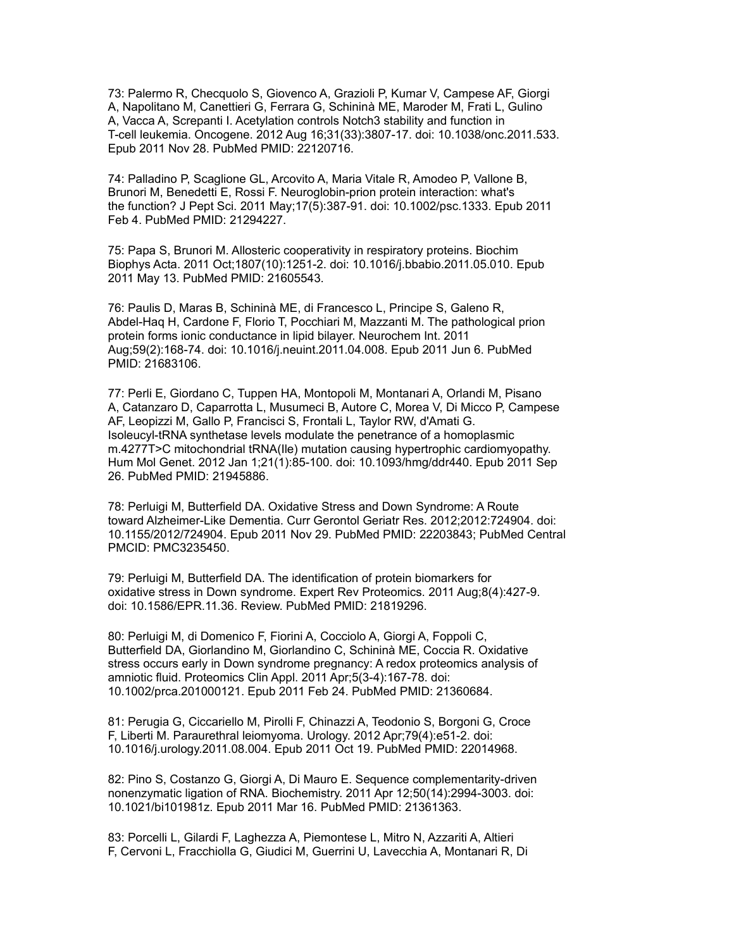73: Palermo R, Checquolo S, Giovenco A, Grazioli P, Kumar V, Campese AF, Giorgi A, Napolitano M, Canettieri G, Ferrara G, Schininà ME, Maroder M, Frati L, Gulino A, Vacca A, Screpanti I. Acetylation controls Notch3 stability and function in T-cell leukemia. Oncogene. 2012 Aug 16;31(33):3807-17. doi: 10.1038/onc.2011.533. Epub 2011 Nov 28. PubMed PMID: 22120716.

74: Palladino P, Scaglione GL, Arcovito A, Maria Vitale R, Amodeo P, Vallone B, Brunori M, Benedetti E, Rossi F. Neuroglobin-prion protein interaction: what's the function? J Pept Sci. 2011 May;17(5):387-91. doi: 10.1002/psc.1333. Epub 2011 Feb 4. PubMed PMID: 21294227.

75: Papa S, Brunori M. Allosteric cooperativity in respiratory proteins. Biochim Biophys Acta. 2011 Oct;1807(10):1251-2. doi: 10.1016/j.bbabio.2011.05.010. Epub 2011 May 13. PubMed PMID: 21605543.

76: Paulis D, Maras B, Schininà ME, di Francesco L, Principe S, Galeno R, Abdel-Haq H, Cardone F, Florio T, Pocchiari M, Mazzanti M. The pathological prion protein forms ionic conductance in lipid bilayer. Neurochem Int. 2011 Aug;59(2):168-74. doi: 10.1016/j.neuint.2011.04.008. Epub 2011 Jun 6. PubMed PMID: 21683106.

77: Perli E, Giordano C, Tuppen HA, Montopoli M, Montanari A, Orlandi M, Pisano A, Catanzaro D, Caparrotta L, Musumeci B, Autore C, Morea V, Di Micco P, Campese AF, Leopizzi M, Gallo P, Francisci S, Frontali L, Taylor RW, d'Amati G. Isoleucyl-tRNA synthetase levels modulate the penetrance of a homoplasmic m.4277T>C mitochondrial tRNA(Ile) mutation causing hypertrophic cardiomyopathy. Hum Mol Genet. 2012 Jan 1;21(1):85-100. doi: 10.1093/hmg/ddr440. Epub 2011 Sep 26. PubMed PMID: 21945886.

78: Perluigi M, Butterfield DA. Oxidative Stress and Down Syndrome: A Route toward Alzheimer-Like Dementia. Curr Gerontol Geriatr Res. 2012;2012:724904. doi: 10.1155/2012/724904. Epub 2011 Nov 29. PubMed PMID: 22203843; PubMed Central PMCID: PMC3235450.

79: Perluigi M, Butterfield DA. The identification of protein biomarkers for oxidative stress in Down syndrome. Expert Rev Proteomics. 2011 Aug;8(4):427-9. doi: 10.1586/EPR.11.36. Review. PubMed PMID: 21819296.

80: Perluigi M, di Domenico F, Fiorini A, Cocciolo A, Giorgi A, Foppoli C, Butterfield DA, Giorlandino M, Giorlandino C, Schininà ME, Coccia R. Oxidative stress occurs early in Down syndrome pregnancy: A redox proteomics analysis of amniotic fluid. Proteomics Clin Appl. 2011 Apr;5(3-4):167-78. doi: 10.1002/prca.201000121. Epub 2011 Feb 24. PubMed PMID: 21360684.

81: Perugia G, Ciccariello M, Pirolli F, Chinazzi A, Teodonio S, Borgoni G, Croce F, Liberti M. Paraurethral leiomyoma. Urology. 2012 Apr;79(4):e51-2. doi: 10.1016/j.urology.2011.08.004. Epub 2011 Oct 19. PubMed PMID: 22014968.

82: Pino S, Costanzo G, Giorgi A, Di Mauro E. Sequence complementarity-driven nonenzymatic ligation of RNA. Biochemistry. 2011 Apr 12;50(14):2994-3003. doi: 10.1021/bi101981z. Epub 2011 Mar 16. PubMed PMID: 21361363.

83: Porcelli L, Gilardi F, Laghezza A, Piemontese L, Mitro N, Azzariti A, Altieri F, Cervoni L, Fracchiolla G, Giudici M, Guerrini U, Lavecchia A, Montanari R, Di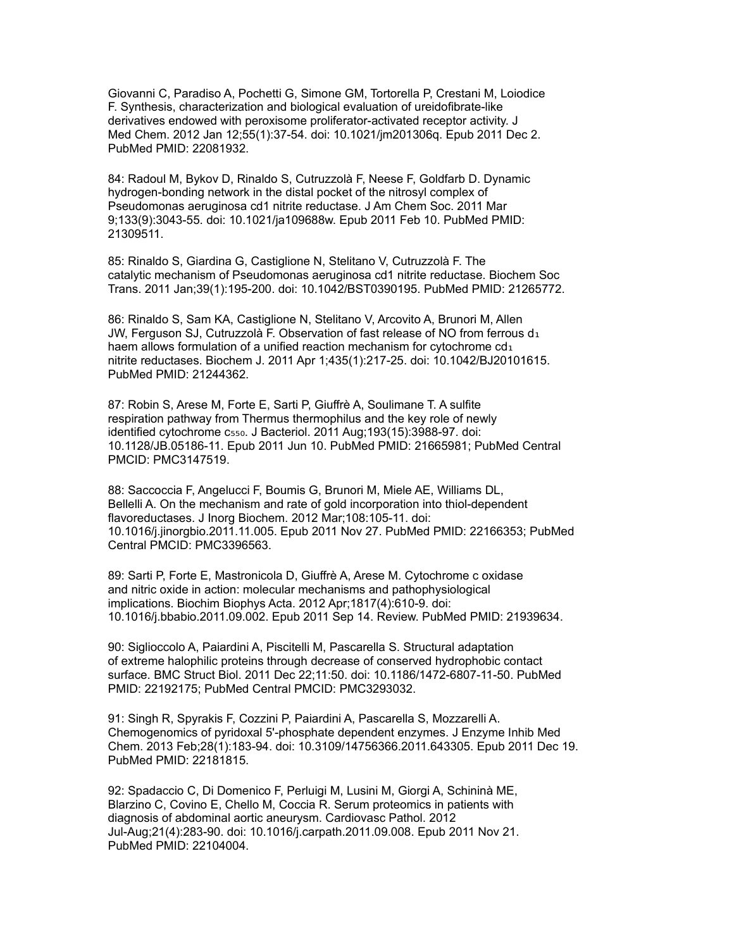Giovanni C, Paradiso A, Pochetti G, Simone GM, Tortorella P, Crestani M, Loiodice F. Synthesis, characterization and biological evaluation of ureidofibrate-like derivatives endowed with peroxisome proliferator-activated receptor activity. J Med Chem. 2012 Jan 12;55(1):37-54. doi: 10.1021/jm201306q. Epub 2011 Dec 2. PubMed PMID: 22081932.

84: Radoul M, Bykov D, Rinaldo S, Cutruzzolà F, Neese F, Goldfarb D. Dynamic hydrogen-bonding network in the distal pocket of the nitrosyl complex of Pseudomonas aeruginosa cd1 nitrite reductase. J Am Chem Soc. 2011 Mar 9;133(9):3043-55. doi: 10.1021/ja109688w. Epub 2011 Feb 10. PubMed PMID: 21309511.

85: Rinaldo S, Giardina G, Castiglione N, Stelitano V, Cutruzzolà F. The catalytic mechanism of Pseudomonas aeruginosa cd1 nitrite reductase. Biochem Soc Trans. 2011 Jan;39(1):195-200. doi: 10.1042/BST0390195. PubMed PMID: 21265772.

86: Rinaldo S, Sam KA, Castiglione N, Stelitano V, Arcovito A, Brunori M, Allen JW, Ferguson SJ, Cutruzzolà F. Observation of fast release of NO from ferrous  $d_1$ haem allows formulation of a unified reaction mechanism for cytochrome cd1 nitrite reductases. Biochem J. 2011 Apr 1;435(1):217-25. doi: 10.1042/BJ20101615. PubMed PMID: 21244362.

87: Robin S, Arese M, Forte E, Sarti P, Giuffrè A, Soulimane T. A sulfite respiration pathway from Thermus thermophilus and the key role of newly identified cytochrome c<sub>550</sub>. J Bacteriol. 2011 Aug;193(15):3988-97. doi: 10.1128/JB.05186-11. Epub 2011 Jun 10. PubMed PMID: 21665981; PubMed Central PMCID: PMC3147519.

88: Saccoccia F, Angelucci F, Boumis G, Brunori M, Miele AE, Williams DL, Bellelli A. On the mechanism and rate of gold incorporation into thiol-dependent flavoreductases. J Inorg Biochem. 2012 Mar;108:105-11. doi: 10.1016/j.jinorgbio.2011.11.005. Epub 2011 Nov 27. PubMed PMID: 22166353; PubMed Central PMCID: PMC3396563.

89: Sarti P, Forte E, Mastronicola D, Giuffrè A, Arese M. Cytochrome c oxidase and nitric oxide in action: molecular mechanisms and pathophysiological implications. Biochim Biophys Acta. 2012 Apr;1817(4):610-9. doi: 10.1016/j.bbabio.2011.09.002. Epub 2011 Sep 14. Review. PubMed PMID: 21939634.

90: Siglioccolo A, Paiardini A, Piscitelli M, Pascarella S. Structural adaptation of extreme halophilic proteins through decrease of conserved hydrophobic contact surface. BMC Struct Biol. 2011 Dec 22;11:50. doi: 10.1186/1472-6807-11-50. PubMed PMID: 22192175; PubMed Central PMCID: PMC3293032.

91: Singh R, Spyrakis F, Cozzini P, Paiardini A, Pascarella S, Mozzarelli A. Chemogenomics of pyridoxal 5'-phosphate dependent enzymes. J Enzyme Inhib Med Chem. 2013 Feb;28(1):183-94. doi: 10.3109/14756366.2011.643305. Epub 2011 Dec 19. PubMed PMID: 22181815.

92: Spadaccio C, Di Domenico F, Perluigi M, Lusini M, Giorgi A, Schininà ME, Blarzino C, Covino E, Chello M, Coccia R. Serum proteomics in patients with diagnosis of abdominal aortic aneurysm. Cardiovasc Pathol. 2012 Jul-Aug;21(4):283-90. doi: 10.1016/j.carpath.2011.09.008. Epub 2011 Nov 21. PubMed PMID: 22104004.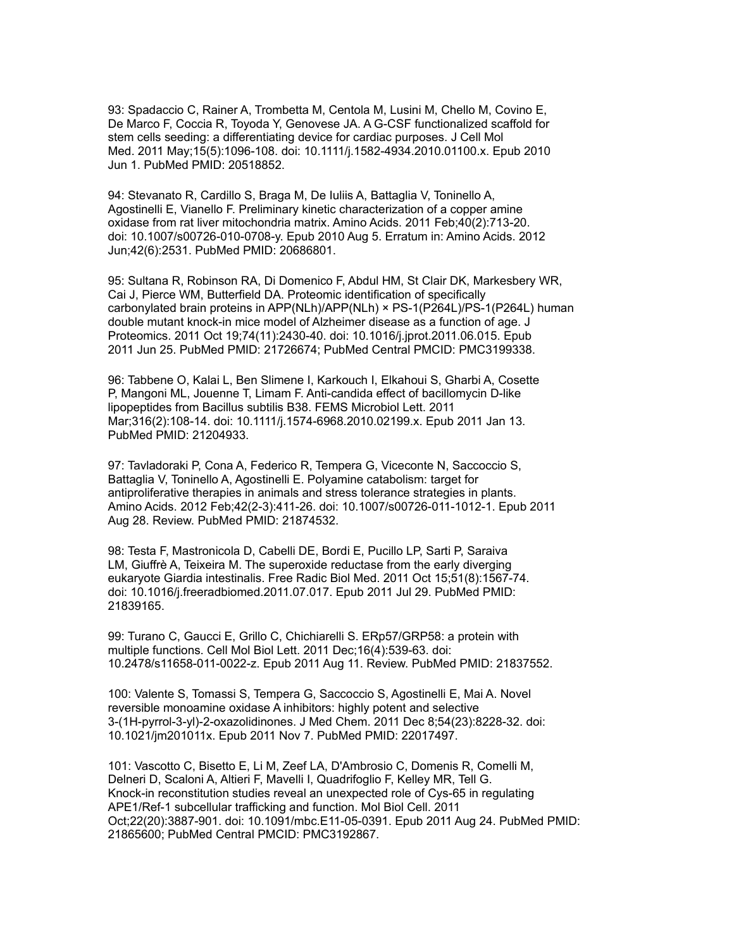93: Spadaccio C, Rainer A, Trombetta M, Centola M, Lusini M, Chello M, Covino E, De Marco F, Coccia R, Toyoda Y, Genovese JA. A G-CSF functionalized scaffold for stem cells seeding: a differentiating device for cardiac purposes. J Cell Mol Med. 2011 May;15(5):1096-108. doi: 10.1111/j.1582-4934.2010.01100.x. Epub 2010 Jun 1. PubMed PMID: 20518852.

94: Stevanato R, Cardillo S, Braga M, De Iuliis A, Battaglia V, Toninello A, Agostinelli E, Vianello F. Preliminary kinetic characterization of a copper amine oxidase from rat liver mitochondria matrix. Amino Acids. 2011 Feb;40(2):713-20. doi: 10.1007/s00726-010-0708-y. Epub 2010 Aug 5. Erratum in: Amino Acids. 2012 Jun;42(6):2531. PubMed PMID: 20686801.

95: Sultana R, Robinson RA, Di Domenico F, Abdul HM, St Clair DK, Markesbery WR, Cai J, Pierce WM, Butterfield DA. Proteomic identification of specifically carbonylated brain proteins in APP(NLh)/APP(NLh) × PS-1(P264L)/PS-1(P264L) human double mutant knock-in mice model of Alzheimer disease as a function of age. J Proteomics. 2011 Oct 19;74(11):2430-40. doi: 10.1016/j.jprot.2011.06.015. Epub 2011 Jun 25. PubMed PMID: 21726674; PubMed Central PMCID: PMC3199338.

96: Tabbene O, Kalai L, Ben Slimene I, Karkouch I, Elkahoui S, Gharbi A, Cosette P, Mangoni ML, Jouenne T, Limam F. Anti-candida effect of bacillomycin D-like lipopeptides from Bacillus subtilis B38. FEMS Microbiol Lett. 2011 Mar;316(2):108-14. doi: 10.1111/j.1574-6968.2010.02199.x. Epub 2011 Jan 13. PubMed PMID: 21204933.

97: Tavladoraki P, Cona A, Federico R, Tempera G, Viceconte N, Saccoccio S, Battaglia V, Toninello A, Agostinelli E. Polyamine catabolism: target for antiproliferative therapies in animals and stress tolerance strategies in plants. Amino Acids. 2012 Feb;42(2-3):411-26. doi: 10.1007/s00726-011-1012-1. Epub 2011 Aug 28. Review. PubMed PMID: 21874532.

98: Testa F, Mastronicola D, Cabelli DE, Bordi E, Pucillo LP, Sarti P, Saraiva LM, Giuffrè A, Teixeira M. The superoxide reductase from the early diverging eukaryote Giardia intestinalis. Free Radic Biol Med. 2011 Oct 15;51(8):1567-74. doi: 10.1016/j.freeradbiomed.2011.07.017. Epub 2011 Jul 29. PubMed PMID: 21839165.

99: Turano C, Gaucci E, Grillo C, Chichiarelli S. ERp57/GRP58: a protein with multiple functions. Cell Mol Biol Lett. 2011 Dec;16(4):539-63. doi: 10.2478/s11658-011-0022-z. Epub 2011 Aug 11. Review. PubMed PMID: 21837552.

100: Valente S, Tomassi S, Tempera G, Saccoccio S, Agostinelli E, Mai A. Novel reversible monoamine oxidase A inhibitors: highly potent and selective 3-(1H-pyrrol-3-yl)-2-oxazolidinones. J Med Chem. 2011 Dec 8;54(23):8228-32. doi: 10.1021/jm201011x. Epub 2011 Nov 7. PubMed PMID: 22017497.

101: Vascotto C, Bisetto E, Li M, Zeef LA, D'Ambrosio C, Domenis R, Comelli M, Delneri D, Scaloni A, Altieri F, Mavelli I, Quadrifoglio F, Kelley MR, Tell G. Knock-in reconstitution studies reveal an unexpected role of Cys-65 in regulating APE1/Ref-1 subcellular trafficking and function. Mol Biol Cell. 2011 Oct;22(20):3887-901. doi: 10.1091/mbc.E11-05-0391. Epub 2011 Aug 24. PubMed PMID: 21865600; PubMed Central PMCID: PMC3192867.